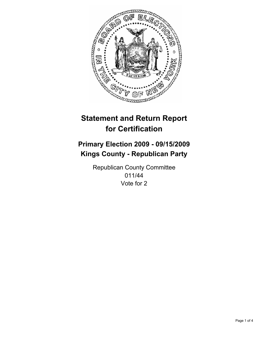

# **Statement and Return Report for Certification**

## **Primary Election 2009 - 09/15/2009 Kings County - Republican Party**

Republican County Committee 011/44 Vote for 2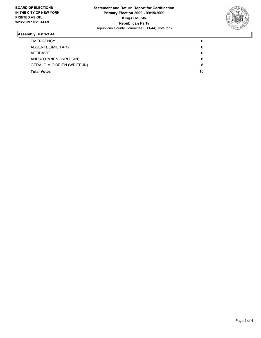

### **Assembly District 44**

| <b>GERALD M O'BRIEN (WRITE-IN)</b>    | 8      |
|---------------------------------------|--------|
| AFFIDAVIT<br>ANITA O'BRIEN (WRITE-IN) | 0<br>8 |
| ABSENTEE/MILITARY                     | 0      |
| <b>EMERGENCY</b>                      | 0      |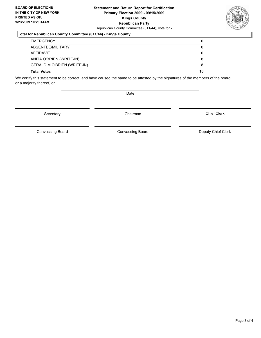#### **Statement and Return Report for Certification Primary Election 2009 - 09/15/2009 Kings County Republican Party** Republican County Committee (011/44), vote for 2

#### **Total for Republican County Committee (011/44) - Kings County**

| <b>Total Votes</b>                 | 16 |
|------------------------------------|----|
| <b>GERALD M O'BRIEN (WRITE-IN)</b> | 8  |
| ANITA O'BRIEN (WRITE-IN)           | 8  |
| AFFIDAVIT                          | 0  |
| ABSENTEE/MILITARY                  | 0  |
| <b>EMERGENCY</b>                   | 0  |

We certify this statement to be correct, and have caused the same to be attested by the signatures of the members of the board, or a majority thereof, on

Date

Secretary Chairman

Canvassing Board

Canvassing Board **Canvassing Board** Canvassing Board **Deputy Chief Clerk** 

Chief Clerk

Page 3 of 4

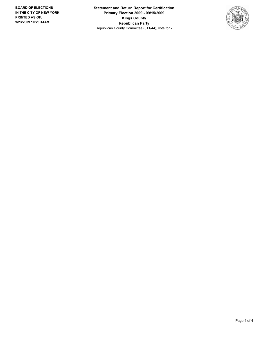**Statement and Return Report for Certification Primary Election 2009 - 09/15/2009 Kings County Republican Party** Republican County Committee (011/44), vote for 2

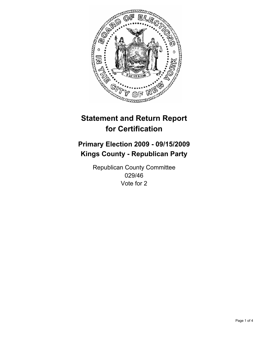

# **Statement and Return Report for Certification**

## **Primary Election 2009 - 09/15/2009 Kings County - Republican Party**

Republican County Committee 029/46 Vote for 2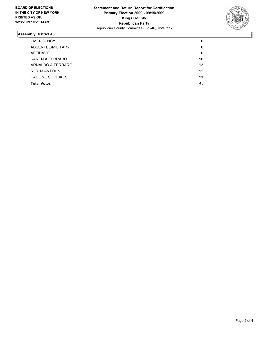

### **Assembly District 46**

| <b>Total Votes</b>      | 46 |
|-------------------------|----|
| <b>PAULINE SODEIKES</b> | 11 |
| <b>ROY M ANTOUN</b>     | 12 |
| ARNALDO A FERRARO       | 13 |
| KAREN A FERRARO         | 10 |
| AFFIDAVIT               | 0  |
| ABSENTEE/MILITARY       | 0  |
| <b>EMERGENCY</b>        | 0  |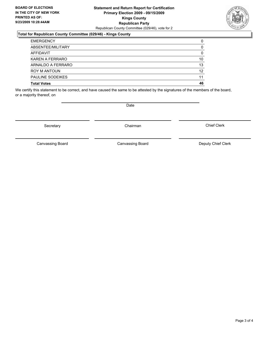#### **Statement and Return Report for Certification Primary Election 2009 - 09/15/2009 Kings County Republican Party** Republican County Committee (029/46), vote for 2

#### **Total for Republican County Committee (029/46) - Kings County**

| <b>Total Votes</b>      | 46 |
|-------------------------|----|
| <b>PAULINE SODEIKES</b> | 11 |
| <b>ROY M ANTOUN</b>     | 12 |
| ARNALDO A FERRARO       | 13 |
| KAREN A FERRARO         | 10 |
| <b>AFFIDAVIT</b>        | 0  |
| ABSENTEE/MILITARY       | 0  |
| <b>EMERGENCY</b>        | 0  |

We certify this statement to be correct, and have caused the same to be attested by the signatures of the members of the board, or a majority thereof, on

Secretary **Chairman** 

Canvassing Board

**Date** 

Canvassing Board Canvassing Board Canvassing Canvassing Board Deputy Chief Clerk

Chief Clerk

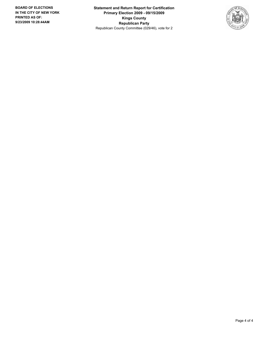**Statement and Return Report for Certification Primary Election 2009 - 09/15/2009 Kings County Republican Party** Republican County Committee (029/46), vote for 2

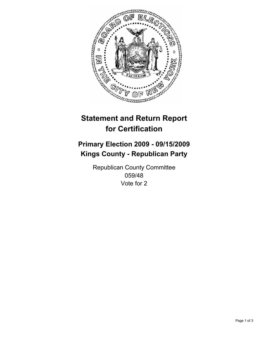

# **Statement and Return Report for Certification**

## **Primary Election 2009 - 09/15/2009 Kings County - Republican Party**

Republican County Committee 059/48 Vote for 2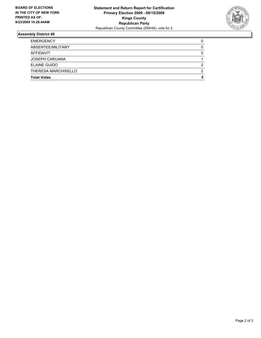

### **Assembly District 48**

| <b>Total Votes</b>         | 5 |
|----------------------------|---|
| <b>THERESA MARCHISELLO</b> | 2 |
| ELAINE GUIDO               | 2 |
| <b>JOSEPH CARUANA</b>      |   |
| AFFIDAVIT                  | 0 |
| ABSENTEE/MILITARY          | 0 |
| <b>EMERGENCY</b>           | 0 |